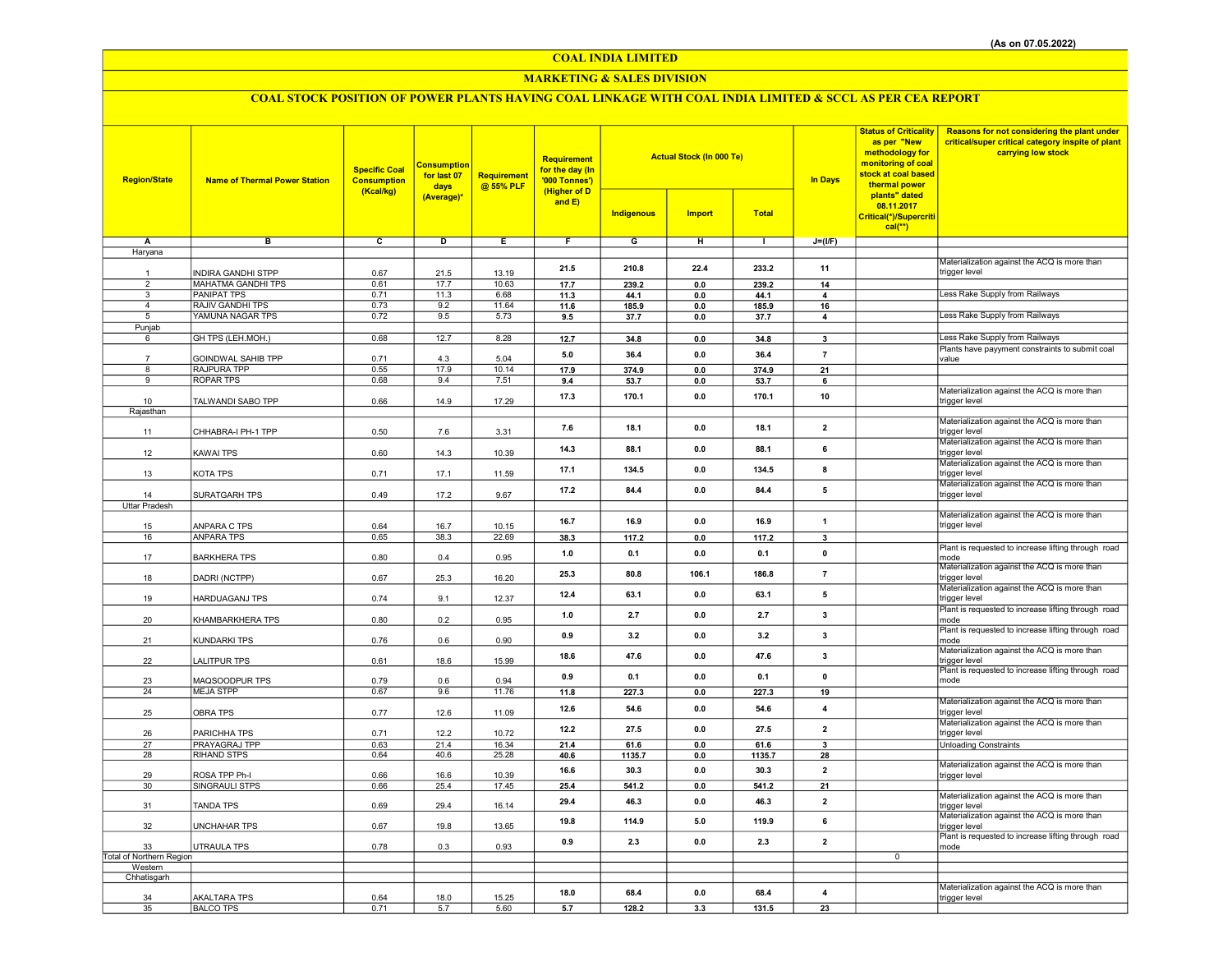## COAL INDIA LIMITED

## MARKETING & SALES DIVISION

# COAL STOCK POSITION OF POWER PLANTS HAVING COAL LINKAGE WITH COAL INDIA LIMITED & SCCL AS PER CEA REPORT

| <b>Region/State</b>            | <b>Name of Thermal Power Station</b>            | <b>Specific Coal</b><br><b>Consumption</b><br>(Kcal/kg) | <b>Consumption</b><br>for last 07<br>days<br>(Average)* | <b>Requirement</b><br>@ 55% PLF | Requirement<br>for the day (In<br>'000 Tonnes')<br>(Higher of D<br>and E) | <b>Actual Stock (In 000 Te)</b><br><b>Indigenous</b><br><b>Import</b><br><b>Total</b> |                       |               | <b>In Days</b>          | <b>Status of Criticality</b><br>as per "New<br>methodology for<br>monitoring of coal<br>stock at coal based<br>thermal power<br>plants" dated<br>08.11.2017<br>Critical(*)/Supercriti | Reasons for not considering the plant under<br>critical/super critical category inspite of plant<br>carrying low stock |
|--------------------------------|-------------------------------------------------|---------------------------------------------------------|---------------------------------------------------------|---------------------------------|---------------------------------------------------------------------------|---------------------------------------------------------------------------------------|-----------------------|---------------|-------------------------|---------------------------------------------------------------------------------------------------------------------------------------------------------------------------------------|------------------------------------------------------------------------------------------------------------------------|
|                                |                                                 |                                                         |                                                         |                                 |                                                                           |                                                                                       |                       |               |                         | $cal(**)$                                                                                                                                                                             |                                                                                                                        |
| Α                              | в                                               | c                                                       | D                                                       | Ε                               | $\overline{F}$                                                            | G                                                                                     | н                     | $\mathbf{L}$  | $J=(I/F)$               |                                                                                                                                                                                       |                                                                                                                        |
| Haryana                        |                                                 |                                                         |                                                         |                                 |                                                                           |                                                                                       |                       |               |                         |                                                                                                                                                                                       |                                                                                                                        |
|                                |                                                 |                                                         |                                                         |                                 | 21.5                                                                      | 210.8                                                                                 | 22.4                  | 233.2         | 11                      |                                                                                                                                                                                       | Materialization against the ACQ is more than                                                                           |
| $\mathbf{1}$<br>$\overline{2}$ | <b>INDIRA GANDHI STPP</b>                       | 0.67                                                    | 21.5                                                    | 13.19                           |                                                                           |                                                                                       |                       |               |                         |                                                                                                                                                                                       | trigger level                                                                                                          |
| $\overline{\mathbf{3}}$        | <b>MAHATMA GANDHI TPS</b><br><b>PANIPAT TPS</b> | 0.61<br>0.71                                            | 17.7<br>11.3                                            | 10.63<br>6.68                   | 17.7<br>11.3                                                              | 239.2<br>44.1                                                                         | $\mathbf{0.0}$<br>0.0 | 239.2<br>44.1 | 14<br>4                 |                                                                                                                                                                                       | Less Rake Supply from Railways                                                                                         |
| $\overline{4}$                 | RAJIV GANDHI TPS                                | 0.73                                                    | 9.2                                                     | 11.64                           | 11.6                                                                      | 185.9                                                                                 | 0.0                   | 185.9         | 16                      |                                                                                                                                                                                       |                                                                                                                        |
| 5                              | YAMUNA NAGAR TPS                                | 0.72                                                    | 9.5                                                     | 5.73                            | 9.5                                                                       | 37.7                                                                                  | 0.0                   | 37.7          | 4                       |                                                                                                                                                                                       | Less Rake Supply from Railways                                                                                         |
| Punjab                         |                                                 |                                                         |                                                         |                                 |                                                                           |                                                                                       |                       |               |                         |                                                                                                                                                                                       |                                                                                                                        |
| 6                              | GH TPS (LEH.MOH.)                               | 0.68                                                    | 12.7                                                    | 8.28                            | 12.7                                                                      | 34.8                                                                                  | $\mathbf{0.0}$        | 34.8          | $\mathbf{3}$            |                                                                                                                                                                                       | Less Rake Supply from Railways                                                                                         |
|                                | GOINDWAL SAHIB TPP                              | 0.71                                                    | 4.3                                                     | 5.04                            | 5.0                                                                       | 36.4                                                                                  | 0.0                   | 36.4          | $\overline{7}$          |                                                                                                                                                                                       | Plants have payyment constraints to submit coal<br>value                                                               |
| 8                              | RAJPURA TPP                                     | 0.55                                                    | 17.9                                                    | 10.14                           | 17.9                                                                      | 374.9                                                                                 | 0.0                   | 374.9         | 21                      |                                                                                                                                                                                       |                                                                                                                        |
| 9                              | <b>ROPAR TPS</b>                                | 0.68                                                    | 9.4                                                     | 7.51                            | 9.4                                                                       | 53.7                                                                                  | 0.0                   | 53.7          | 6                       |                                                                                                                                                                                       |                                                                                                                        |
|                                |                                                 |                                                         |                                                         |                                 | 17.3                                                                      | 170.1                                                                                 | 0.0                   | 170.1         | 10                      |                                                                                                                                                                                       | Materialization against the ACQ is more than                                                                           |
| 10                             | TALWANDI SABO TPP                               | 0.66                                                    | 14.9                                                    | 17.29                           |                                                                           |                                                                                       |                       |               |                         |                                                                                                                                                                                       | trigger level                                                                                                          |
| Rajasthan                      |                                                 |                                                         |                                                         |                                 |                                                                           |                                                                                       |                       |               |                         |                                                                                                                                                                                       | Materialization against the ACQ is more than                                                                           |
| 11                             | CHHABRA-I PH-1 TPP                              | 0.50                                                    | 7.6                                                     | 3.31                            | 7.6                                                                       | 18.1                                                                                  | 0.0                   | 18.1          | $\overline{2}$          |                                                                                                                                                                                       | trigger level                                                                                                          |
|                                |                                                 |                                                         |                                                         |                                 |                                                                           |                                                                                       |                       |               |                         |                                                                                                                                                                                       | Materialization against the ACQ is more than                                                                           |
| 12                             | <b>KAWAI TPS</b>                                | 0.60                                                    | 14.3                                                    | 10.39                           | 14.3                                                                      | 88.1                                                                                  | 0.0                   | 88.1          | 6                       |                                                                                                                                                                                       | trigger level                                                                                                          |
|                                |                                                 |                                                         |                                                         |                                 | 17.1                                                                      | 134.5                                                                                 | 0.0                   | 134.5         | 8                       |                                                                                                                                                                                       | Materialization against the ACQ is more than                                                                           |
| 13                             | KOTA TPS                                        | 0.71                                                    | 17.1                                                    | 11.59                           |                                                                           |                                                                                       |                       |               |                         |                                                                                                                                                                                       | trigger level<br>Materialization against the ACQ is more than                                                          |
| 14                             | SURATGARH TPS                                   | 0.49                                                    | 17.2                                                    | 9.67                            | 17.2                                                                      | 84.4                                                                                  | 0.0                   | 84.4          | $\sqrt{5}$              |                                                                                                                                                                                       | trigger level                                                                                                          |
| <b>Uttar Pradesh</b>           |                                                 |                                                         |                                                         |                                 |                                                                           |                                                                                       |                       |               |                         |                                                                                                                                                                                       |                                                                                                                        |
|                                |                                                 |                                                         |                                                         |                                 | 16.7                                                                      | 16.9                                                                                  | 0.0                   | 16.9          | $\mathbf{1}$            |                                                                                                                                                                                       | Materialization against the ACQ is more than                                                                           |
| 15                             | ANPARA C TPS                                    | 0.64                                                    | 16.7                                                    | 10.15                           |                                                                           |                                                                                       |                       |               |                         |                                                                                                                                                                                       | trigger level                                                                                                          |
| 16                             | <b>ANPARA TPS</b>                               | 0.65                                                    | 38.3                                                    | 22.69                           | 38.3                                                                      | 117.2                                                                                 | $0.0\,$               | 117.2         | $\overline{\mathbf{3}}$ |                                                                                                                                                                                       |                                                                                                                        |
| 17                             | <b>BARKHERA TPS</b>                             | 0.80                                                    | 0.4                                                     | 0.95                            | 1.0                                                                       | 0.1                                                                                   | 0.0                   | 0.1           | $\mathbf 0$             |                                                                                                                                                                                       | Plant is requested to increase lifting through road<br>mode                                                            |
|                                |                                                 |                                                         |                                                         |                                 |                                                                           |                                                                                       |                       |               |                         |                                                                                                                                                                                       | Materialization against the ACQ is more than                                                                           |
| 18                             | DADRI (NCTPP)                                   | 0.67                                                    | 25.3                                                    | 16.20                           | 25.3                                                                      | 80.8                                                                                  | 106.1                 | 186.8         | $\overline{7}$          |                                                                                                                                                                                       | trigger level                                                                                                          |
|                                |                                                 |                                                         |                                                         |                                 | 12.4                                                                      | 63.1                                                                                  | 0.0                   | 63.1          | 5                       |                                                                                                                                                                                       | Materialization against the ACQ is more than                                                                           |
| 19                             | <b>HARDUAGANJ TPS</b>                           | 0.74                                                    | 9.1                                                     | 12.37                           |                                                                           |                                                                                       |                       |               |                         |                                                                                                                                                                                       | trigger level                                                                                                          |
| 20                             | KHAMBARKHERA TPS                                | 0.80                                                    | 0.2                                                     | 0.95                            | 1.0                                                                       | 2.7                                                                                   | 0.0                   | 2.7           | $\mathbf{3}$            |                                                                                                                                                                                       | Plant is requested to increase lifting through road<br>mode                                                            |
|                                |                                                 |                                                         |                                                         |                                 |                                                                           |                                                                                       |                       |               |                         |                                                                                                                                                                                       | Plant is requested to increase lifting through road                                                                    |
| 21                             | KUNDARKI TPS                                    | 0.76                                                    | 0.6                                                     | 0.90                            | 0.9                                                                       | 3.2                                                                                   | 0.0                   | 3.2           | $\mathbf{3}$            |                                                                                                                                                                                       | mode                                                                                                                   |
|                                |                                                 |                                                         |                                                         |                                 | 18.6                                                                      | 47.6                                                                                  | 0.0                   | 47.6          | 3                       |                                                                                                                                                                                       | Materialization against the ACQ is more than                                                                           |
| 22                             | <b>LALITPUR TPS</b>                             | 0.61                                                    | 18.6                                                    | 15.99                           |                                                                           |                                                                                       |                       |               |                         |                                                                                                                                                                                       | trigger level<br>Plant is requested to increase lifting through road                                                   |
| 23                             | MAQSOODPUR TPS                                  | 0.79                                                    | 0.6                                                     | 0.94                            | 0.9                                                                       | 0.1                                                                                   | 0.0                   | 0.1           | $\mathbf 0$             |                                                                                                                                                                                       | mode                                                                                                                   |
| 24                             | <b>MEJA STPP</b>                                | 0.67                                                    | 9.6                                                     | 11.76                           | 11.8                                                                      | 227.3                                                                                 | 0.0                   | 227.3         | 19                      |                                                                                                                                                                                       |                                                                                                                        |
|                                |                                                 |                                                         |                                                         |                                 | 12.6                                                                      | 54.6                                                                                  | 0.0                   | 54.6          | $\overline{4}$          |                                                                                                                                                                                       | Materialization against the ACQ is more than                                                                           |
| 25                             | <b>OBRA TPS</b>                                 | 0.77                                                    | 12.6                                                    | 11.09                           |                                                                           |                                                                                       |                       |               |                         |                                                                                                                                                                                       | trigger level<br>Materialization against the ACQ is more than                                                          |
| 26                             | PARICHHA TPS                                    | 0.71                                                    | 12.2                                                    | 10.72                           | 12.2                                                                      | 27.5                                                                                  | 0.0                   | 27.5          | $\overline{2}$          |                                                                                                                                                                                       | trigger level                                                                                                          |
| 27                             | PRAYAGRAJ TPP                                   | 0.63                                                    | 21.4                                                    | 16.34                           | 21.4                                                                      | 61.6                                                                                  | 0.0                   | 61.6          | 3                       |                                                                                                                                                                                       | <b>Unloading Constraints</b>                                                                                           |
| 28                             | RIHAND STPS                                     | 0.64                                                    | 40.6                                                    | 25.28                           | 40.6                                                                      | 1135.7                                                                                | 0.0                   | 1135.7        | 28                      |                                                                                                                                                                                       |                                                                                                                        |
|                                |                                                 |                                                         |                                                         |                                 | 16.6                                                                      | 30.3                                                                                  | 0.0                   | 30.3          | $\overline{\mathbf{2}}$ |                                                                                                                                                                                       | Materialization against the ACQ is more than                                                                           |
| 29<br>30                       | ROSA TPP Ph-I<br>SINGRAULI STPS                 | 0.66<br>0.66                                            | 16.6<br>25.4                                            | 10.39<br>17.45                  | 25.4                                                                      | 541.2                                                                                 | 0.0                   | 541.2         | 21                      |                                                                                                                                                                                       | trigger level                                                                                                          |
|                                |                                                 |                                                         |                                                         |                                 |                                                                           |                                                                                       |                       |               |                         |                                                                                                                                                                                       | Materialization against the ACQ is more than                                                                           |
| 31                             | <b>TANDA TPS</b>                                | 0.69                                                    | 29.4                                                    | 16.14                           | 29.4                                                                      | 46.3                                                                                  | 0.0                   | 46.3          | $\overline{2}$          |                                                                                                                                                                                       | trigger level                                                                                                          |
|                                |                                                 |                                                         |                                                         |                                 | 19.8                                                                      | 114.9                                                                                 | 5.0                   | 119.9         | 6                       |                                                                                                                                                                                       | Materialization against the ACQ is more than                                                                           |
| 32                             | <b>UNCHAHAR TPS</b>                             | 0.67                                                    | 19.8                                                    | 13.65                           |                                                                           |                                                                                       |                       |               |                         |                                                                                                                                                                                       | trigger level<br>Plant is requested to increase lifting through road                                                   |
| 33                             | <b>UTRAULA TPS</b>                              | 0.78                                                    | 0.3                                                     | 0.93                            | 0.9                                                                       | 2.3                                                                                   | 0.0                   | 2.3           | $\overline{2}$          |                                                                                                                                                                                       | mode                                                                                                                   |
| Total of Northern Region       |                                                 |                                                         |                                                         |                                 |                                                                           |                                                                                       |                       |               |                         | $\overline{0}$                                                                                                                                                                        |                                                                                                                        |
| Western                        |                                                 |                                                         |                                                         |                                 |                                                                           |                                                                                       |                       |               |                         |                                                                                                                                                                                       |                                                                                                                        |
| Chhatisgarh                    |                                                 |                                                         |                                                         |                                 |                                                                           |                                                                                       |                       |               |                         |                                                                                                                                                                                       |                                                                                                                        |
| 34                             | <b>AKALTARA TPS</b>                             | 0.64                                                    | 18.0                                                    | 15.25                           | 18.0                                                                      | 68.4                                                                                  | 0.0                   | 68.4          | 4                       |                                                                                                                                                                                       | Materialization against the ACQ is more than<br>trigger level                                                          |
| 35                             | <b>BALCO TPS</b>                                | 0.71                                                    | 5.7                                                     | 5.60                            | 5.7                                                                       | 128.2                                                                                 | 3.3                   | 131.5         | 23                      |                                                                                                                                                                                       |                                                                                                                        |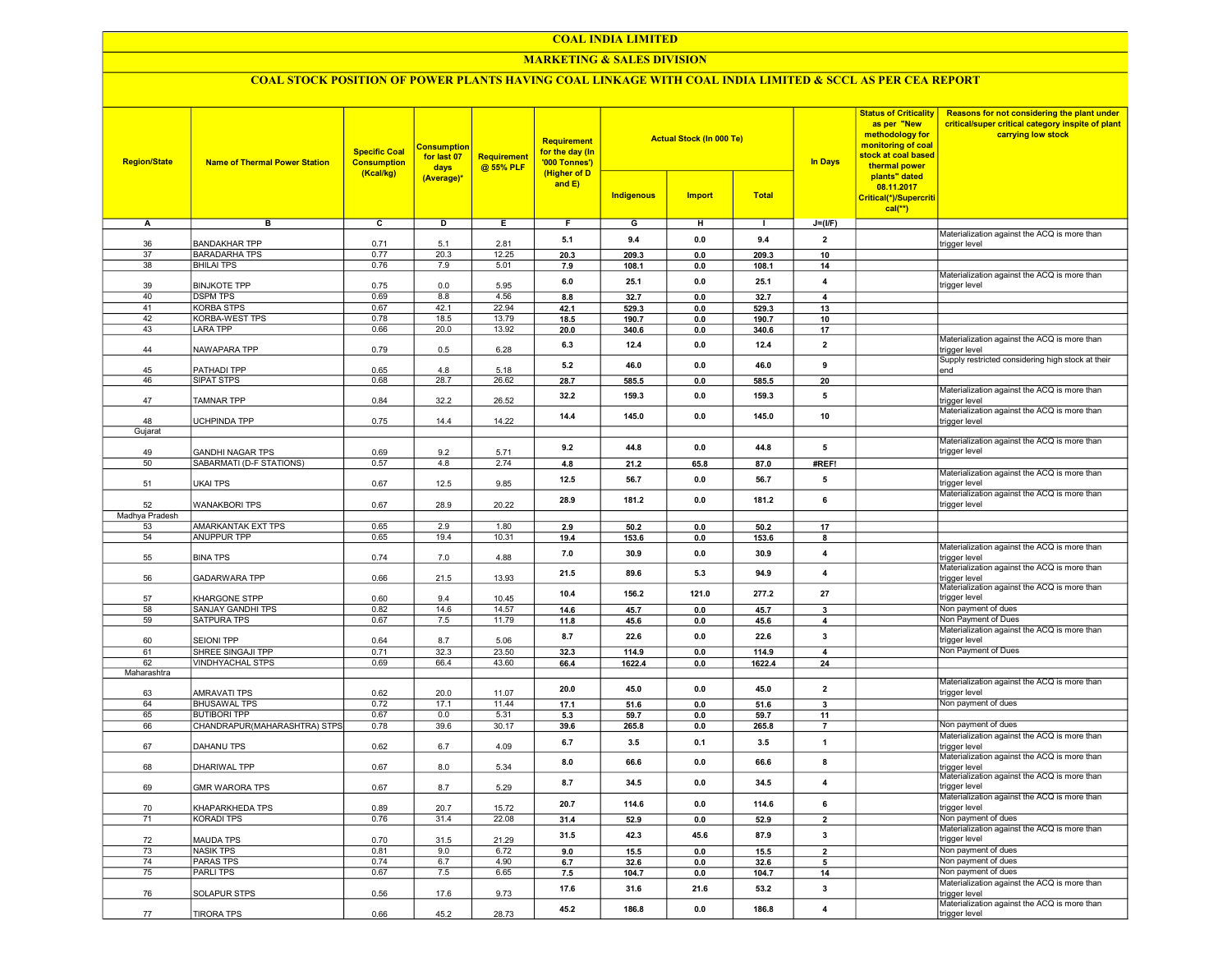#### COAL INDIA LIMITED

## MARKETING & SALES DIVISION

## COAL STOCK POSITION OF POWER PLANTS HAVING COAL LINKAGE WITH COAL INDIA LIMITED & SCCL AS PER CEA REPORT

| <b>Region/State</b> | <b>Name of Thermal Power Station</b>         | <b>Specific Coal</b><br><b>Consumption</b><br>(Kcal/kg) | <b>Consumption</b><br>for last 07<br>days<br>(Average)* | <b>Requirement</b><br>@ 55% PLF | <b>Requirement</b><br>for the day (In<br>'000 Tonnes')<br>(Higher of D<br>and E) | <b>Indigenous</b> | <b>Actual Stock (In 000 Te)</b><br><b>Import</b> | <b>Total</b>   | <b>In Days</b>          | <b>Status of Criticality</b><br>as per "New<br>methodology for<br>monitoring of coal<br>stock at coal based<br>thermal power<br>plants" dated<br>08.11.2017<br>Critical(*)/Supercriti<br>$cal$ <sup>**</sup> ) | Reasons for not considering the plant under<br>critical/super critical category inspite of plant<br>carrying low stock |
|---------------------|----------------------------------------------|---------------------------------------------------------|---------------------------------------------------------|---------------------------------|----------------------------------------------------------------------------------|-------------------|--------------------------------------------------|----------------|-------------------------|----------------------------------------------------------------------------------------------------------------------------------------------------------------------------------------------------------------|------------------------------------------------------------------------------------------------------------------------|
| А                   | в                                            | $\overline{c}$                                          | D                                                       | Е.                              | F.                                                                               | G                 | н                                                | $\blacksquare$ | $J=(I/F)$               |                                                                                                                                                                                                                |                                                                                                                        |
|                     |                                              |                                                         |                                                         |                                 |                                                                                  |                   |                                                  |                |                         |                                                                                                                                                                                                                | Materialization against the ACQ is more than                                                                           |
| 36                  | <b>BANDAKHAR TPP</b>                         | 0.71                                                    | 5.1                                                     | 2.81                            | 5.1                                                                              | 9.4               | 0.0                                              | 9.4            | $\overline{2}$          |                                                                                                                                                                                                                | trigger level                                                                                                          |
| 37                  | <b>BARADARHA TPS</b>                         | 0.77                                                    | 20.3                                                    | 12.25                           | 20.3                                                                             | 209.3             | 0.0                                              | 209.3          | 10                      |                                                                                                                                                                                                                |                                                                                                                        |
| 38                  | <b>BHILAI TPS</b>                            | 0.76                                                    | 7.9                                                     | 5.01                            | 7.9                                                                              | 108.1             | 0.0                                              | 108.1          | 14                      |                                                                                                                                                                                                                | Materialization against the ACQ is more than                                                                           |
| 39                  | <b>BINJKOTE TPP</b>                          | 0.75                                                    | 0.0                                                     | 5.95                            | 6.0                                                                              | 25.1              | 0.0                                              | 25.1           | $\overline{4}$          |                                                                                                                                                                                                                | trigger level                                                                                                          |
| 40                  | <b>DSPM TPS</b>                              | 0.69                                                    | 8.8                                                     | 4.56                            | 8.8                                                                              | 32.7              | 0.0                                              | 32.7           | $\overline{4}$          |                                                                                                                                                                                                                |                                                                                                                        |
| 41                  | <b>KORBA STPS</b>                            | 0.67                                                    | 42.1                                                    | 22.94                           | 42.1                                                                             | 529.3             | 0.0                                              | 529.3          | 13                      |                                                                                                                                                                                                                |                                                                                                                        |
| 42                  | KORBA-WEST TPS                               | 0.78                                                    | 18.5                                                    | 13.79                           | 18.5                                                                             | 190.7             | 0.0                                              | 190.7          | 10                      |                                                                                                                                                                                                                |                                                                                                                        |
| 43                  | <b>LARA TPP</b>                              | 0.66                                                    | 20.0                                                    | 13.92                           | 20.0                                                                             | 340.6             | 0.0                                              | 340.6          | 17                      |                                                                                                                                                                                                                |                                                                                                                        |
| 44                  |                                              |                                                         |                                                         |                                 | 6.3                                                                              | 12.4              | 0.0                                              | 12.4           | $\overline{2}$          |                                                                                                                                                                                                                | Materialization against the ACQ is more than                                                                           |
|                     | NAWAPARA TPP                                 | 0.79                                                    | 0.5                                                     | 6.28                            |                                                                                  |                   |                                                  |                |                         |                                                                                                                                                                                                                | trigger level<br>Supply restricted considering high stock at their                                                     |
| 45                  | PATHADI TPP                                  | 0.65                                                    | 4.8                                                     | 5.18                            | 5.2                                                                              | 46.0              | 0.0                                              | 46.0           | 9                       |                                                                                                                                                                                                                | end                                                                                                                    |
| 46                  | SIPAT STPS                                   | 0.68                                                    | 28.7                                                    | 26.62                           | 28.7                                                                             | 585.5             | 0.0                                              | 585.5          | 20                      |                                                                                                                                                                                                                |                                                                                                                        |
|                     |                                              |                                                         |                                                         |                                 | 32.2                                                                             | 159.3             | 0.0                                              | 159.3          | 5                       |                                                                                                                                                                                                                | Materialization against the ACQ is more than                                                                           |
| 47                  | TAMNAR TPP                                   | 0.84                                                    | 32.2                                                    | 26.52                           |                                                                                  |                   |                                                  |                |                         |                                                                                                                                                                                                                | trigger level                                                                                                          |
| 48                  | UCHPINDA TPP                                 | 0.75                                                    | 14.4                                                    | 14.22                           | 14.4                                                                             | 145.0             | 0.0                                              | 145.0          | 10                      |                                                                                                                                                                                                                | Materialization against the ACQ is more than<br>trigger level                                                          |
| Gujarat             |                                              |                                                         |                                                         |                                 |                                                                                  |                   |                                                  |                |                         |                                                                                                                                                                                                                |                                                                                                                        |
|                     |                                              |                                                         |                                                         |                                 |                                                                                  |                   |                                                  |                |                         |                                                                                                                                                                                                                | Materialization against the ACQ is more than                                                                           |
| 49                  | <b>GANDHI NAGAR TPS</b>                      | 0.69                                                    | 9.2                                                     | 5.71                            | 9.2                                                                              | 44.8              | 0.0                                              | 44.8           | 5                       |                                                                                                                                                                                                                | trigger level                                                                                                          |
| 50                  | SABARMATI (D-F STATIONS)                     | 0.57                                                    | 4.8                                                     | 2.74                            | 4.8                                                                              | 21.2              | 65.8                                             | 87.0           | #REF!                   |                                                                                                                                                                                                                |                                                                                                                        |
|                     |                                              |                                                         |                                                         |                                 | 12.5                                                                             | 56.7              | 0.0                                              | 56.7           | 5                       |                                                                                                                                                                                                                | Materialization against the ACQ is more than                                                                           |
| 51                  | <b>UKAI TPS</b>                              | 0.67                                                    | 12.5                                                    | 9.85                            |                                                                                  |                   |                                                  |                |                         |                                                                                                                                                                                                                | trigger level<br>Materialization against the ACQ is more than                                                          |
| 52                  | <b>WANAKBORI TPS</b>                         | 0.67                                                    | 28.9                                                    | 20.22                           | 28.9                                                                             | 181.2             | 0.0                                              | 181.2          | 6                       |                                                                                                                                                                                                                | trigger level                                                                                                          |
| Madhya Pradesh      |                                              |                                                         |                                                         |                                 |                                                                                  |                   |                                                  |                |                         |                                                                                                                                                                                                                |                                                                                                                        |
| 53                  | <b>AMARKANTAK EXT TPS</b>                    | 0.65                                                    | 2.9                                                     | 1.80                            | 2.9                                                                              | 50.2              | 0.0                                              | 50.2           | 17                      |                                                                                                                                                                                                                |                                                                                                                        |
| 54                  | <b>ANUPPUR TPP</b>                           | 0.65                                                    | 19.4                                                    | 10.31                           | 19.4                                                                             | 153.6             | 0.0                                              | 153.6          | 8                       |                                                                                                                                                                                                                |                                                                                                                        |
|                     |                                              |                                                         |                                                         |                                 | 7.0                                                                              | 30.9              | 0.0                                              | 30.9           | $\overline{4}$          |                                                                                                                                                                                                                | Materialization against the ACQ is more than                                                                           |
| 55                  | <b>BINA TPS</b>                              | 0.74                                                    | 7.0                                                     | 4.88                            |                                                                                  |                   |                                                  |                |                         |                                                                                                                                                                                                                | trigger level                                                                                                          |
| 56                  | <b>GADARWARA TPP</b>                         | 0.66                                                    | 21.5                                                    | 13.93                           | 21.5                                                                             | 89.6              | 5.3                                              | 94.9           | $\overline{4}$          |                                                                                                                                                                                                                | Materialization against the ACQ is more than<br>trigger level                                                          |
|                     |                                              |                                                         |                                                         |                                 |                                                                                  |                   |                                                  |                |                         |                                                                                                                                                                                                                | Materialization against the ACQ is more than                                                                           |
| 57                  | KHARGONE STPP                                | 0.60                                                    | 9.4                                                     | 10.45                           | 10.4                                                                             | 156.2             | 121.0                                            | 277.2          | 27                      |                                                                                                                                                                                                                | trigger level                                                                                                          |
| 58                  | SANJAY GANDHI TPS                            | 0.82                                                    | 14.6                                                    | 14.57                           | 14.6                                                                             | 45.7              | 0.0                                              | 45.7           | 3                       |                                                                                                                                                                                                                | Non payment of dues                                                                                                    |
| 59                  | SATPURA TPS                                  | 0.67                                                    | 7.5                                                     | 11.79                           | 11.8                                                                             | 45.6              | 0.0                                              | 45.6           | 4                       |                                                                                                                                                                                                                | Non Payment of Dues                                                                                                    |
|                     |                                              |                                                         |                                                         |                                 | 8.7                                                                              | 22.6              | 0.0                                              | 22.6           | 3                       |                                                                                                                                                                                                                | Materialization against the ACQ is more than                                                                           |
| 60                  | <b>SEIONI TPP</b>                            | 0.64                                                    | 8.7                                                     | 5.06                            |                                                                                  |                   |                                                  |                |                         |                                                                                                                                                                                                                | trigger level<br>Non Payment of Dues                                                                                   |
| 61<br>62            | SHREE SINGAJI TPP<br><b>VINDHYACHAL STPS</b> | 0.71<br>0.69                                            | 32.3<br>66.4                                            | 23.50<br>43.60                  | 32.3                                                                             | 114.9             | 0.0                                              | 114.9          | $\overline{4}$          |                                                                                                                                                                                                                |                                                                                                                        |
| Maharashtra         |                                              |                                                         |                                                         |                                 | 66.4                                                                             | 1622.4            | 0.0                                              | 1622.4         | 24                      |                                                                                                                                                                                                                |                                                                                                                        |
|                     |                                              |                                                         |                                                         |                                 |                                                                                  |                   |                                                  |                |                         |                                                                                                                                                                                                                | Materialization against the ACQ is more than                                                                           |
| 63                  | AMRAVATI TPS                                 | 0.62                                                    | 20.0                                                    | 11.07                           | 20.0                                                                             | 45.0              | 0.0                                              | 45.0           | $\overline{2}$          |                                                                                                                                                                                                                | trigger level                                                                                                          |
| 64                  | <b>BHUSAWAL TPS</b>                          | 0.72                                                    | 17.1                                                    | 11.44                           | 17.1                                                                             | 51.6              | 0.0                                              | 51.6           | $\mathbf{3}$            |                                                                                                                                                                                                                | Non payment of dues                                                                                                    |
| 65                  | <b>BUTIBORI TPP</b>                          | 0.67                                                    | 0.0                                                     | 5.31                            | 5.3                                                                              | 59.7              | 0.0                                              | 59.7           | 11                      |                                                                                                                                                                                                                |                                                                                                                        |
| 66                  | CHANDRAPUR(MAHARASHTRA) STPS                 | 0.78                                                    | 39.6                                                    | 30.17                           | 39.6                                                                             | 265.8             | 0.0                                              | 265.8          | $\overline{7}$          |                                                                                                                                                                                                                | Non payment of dues<br>Materialization against the ACQ is more than                                                    |
| 67                  | <b>DAHANU TPS</b>                            | 0.62                                                    | 6.7                                                     | 4.09                            | 6.7                                                                              | 3.5               | 0.1                                              | 3.5            | $\mathbf{1}$            |                                                                                                                                                                                                                | trigger level                                                                                                          |
|                     |                                              |                                                         |                                                         |                                 |                                                                                  |                   |                                                  |                |                         |                                                                                                                                                                                                                | Materialization against the ACQ is more than                                                                           |
| 68                  | DHARIWAL TPP                                 | 0.67                                                    | 8.0                                                     | 5.34                            | 8.0                                                                              | 66.6              | 0.0                                              | 66.6           | 8                       |                                                                                                                                                                                                                | trigger level                                                                                                          |
|                     |                                              |                                                         |                                                         |                                 | 8.7                                                                              | 34.5              | 0.0                                              | 34.5           | $\overline{4}$          |                                                                                                                                                                                                                | Materialization against the ACQ is more than                                                                           |
| 69                  | <b>GMR WARORA TPS</b>                        | 0.67                                                    | 8.7                                                     | 5.29                            |                                                                                  |                   |                                                  |                |                         |                                                                                                                                                                                                                | trigger level<br>Materialization against the ACQ is more than                                                          |
| 70                  | KHAPARKHEDA TPS                              | 0.89                                                    | 20.7                                                    | 15.72                           | 20.7                                                                             | 114.6             | $\mathbf{0.0}$                                   | 114.6          | 6                       |                                                                                                                                                                                                                | trigger level                                                                                                          |
| 71                  | KORADI TPS                                   | 0.76                                                    | 31.4                                                    | 22.08                           | 31.4                                                                             | 52.9              | $\mathbf{0.0}$                                   | 52.9           | $\mathbf{2}$            |                                                                                                                                                                                                                | Non payment of dues                                                                                                    |
|                     |                                              |                                                         |                                                         |                                 |                                                                                  |                   |                                                  |                |                         |                                                                                                                                                                                                                | Materialization against the ACQ is more than                                                                           |
| 72                  | <b>MAUDA TPS</b>                             | 0.70                                                    | 31.5                                                    | 21.29                           | 31.5                                                                             | 42.3              | 45.6                                             | 87.9           | $\overline{\mathbf{3}}$ |                                                                                                                                                                                                                | trigger level                                                                                                          |
| 73                  | <b>NASIK TPS</b>                             | 0.81                                                    | 9.0                                                     | 6.72                            | 9.0                                                                              | 15.5              | 0.0                                              | 15.5           | $\mathbf{2}$            |                                                                                                                                                                                                                | Non payment of dues                                                                                                    |
| 74                  | <b>PARAS TPS</b>                             | 0.74                                                    | 6.7                                                     | 4.90                            | 6.7                                                                              | 32.6              | 0.0                                              | 32.6           | 5                       |                                                                                                                                                                                                                | Non payment of dues                                                                                                    |
| 75                  | <b>PARLITPS</b>                              | 0.67                                                    | 7.5                                                     | 6.65                            | 7.5                                                                              | 104.7             | 0.0                                              | 104.7          | 14                      |                                                                                                                                                                                                                | Non payment of dues                                                                                                    |
|                     |                                              |                                                         |                                                         |                                 | 17.6                                                                             | 31.6              | 21.6                                             | 53.2           | $\overline{\mathbf{3}}$ |                                                                                                                                                                                                                | Materialization against the ACQ is more than                                                                           |
| 76                  | SOLAPUR STPS                                 | 0.56                                                    | 17.6                                                    | 9.73                            |                                                                                  |                   |                                                  |                |                         |                                                                                                                                                                                                                | trigger level<br>Materialization against the ACQ is more than                                                          |
| 77                  | <b>TIRORA TPS</b>                            | 0.66                                                    | 45.2                                                    | 28.73                           | 45.2                                                                             | 186.8             | 0.0                                              | 186.8          | $\overline{\mathbf{4}}$ |                                                                                                                                                                                                                | trigger level                                                                                                          |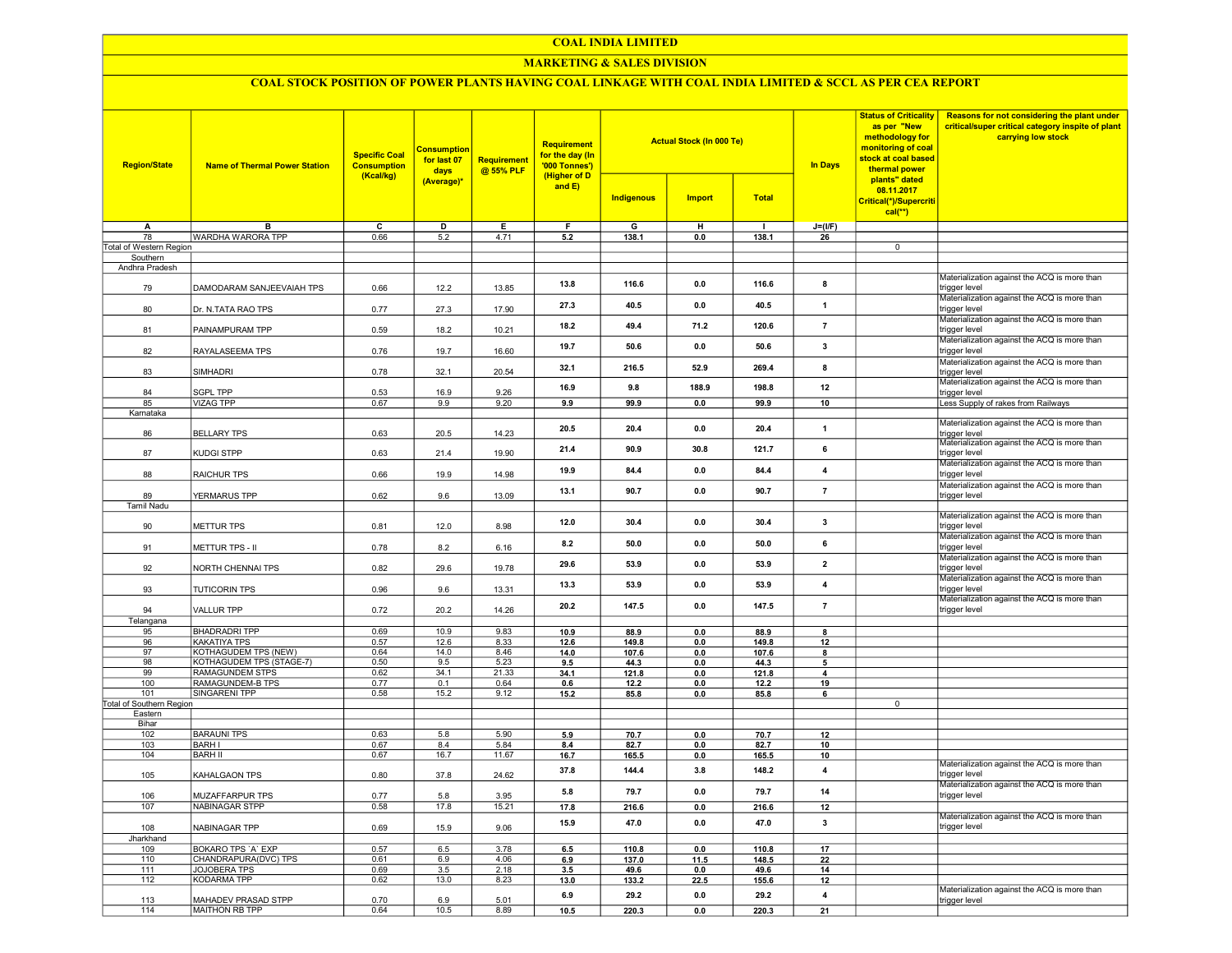#### COAL INDIA LIMITED

## MARKETING & SALES DIVISION

# COAL STOCK POSITION OF POWER PLANTS HAVING COAL LINKAGE WITH COAL INDIA LIMITED & SCCL AS PER CEA REPORT

| <b>Region/State</b>        | <b>Name of Thermal Power Station</b>       | <b>Specific Coal</b><br><b>Consumption</b><br>(Kcal/kg) | <b>Consumption</b><br>for last 07<br>days<br>(Average)* | Requirement<br>@ 55% PLF | Requirement<br>for the day (In<br>'000 Tonnes')<br>(Higher of D |                   | <b>Actual Stock (In 000 Te)</b> |                | <b>In Days</b>          | <b>Status of Criticality</b><br>as per "New<br>methodology for<br>monitoring of coal<br>stock at coal based<br>thermal power<br>plants" dated | Reasons for not considering the plant under<br>critical/super critical category inspite of plant<br>carrying low stock |
|----------------------------|--------------------------------------------|---------------------------------------------------------|---------------------------------------------------------|--------------------------|-----------------------------------------------------------------|-------------------|---------------------------------|----------------|-------------------------|-----------------------------------------------------------------------------------------------------------------------------------------------|------------------------------------------------------------------------------------------------------------------------|
|                            |                                            |                                                         |                                                         |                          | and $E$ )                                                       | <b>Indigenous</b> | <b>Import</b>                   | <b>Total</b>   |                         | 08.11.2017<br>Critical(*)/Supercriti<br>$cal(**)$                                                                                             |                                                                                                                        |
| A                          | в                                          | с                                                       | D                                                       | Е                        | F                                                               | G                 | н                               | $\blacksquare$ | $J=(I/F)$               |                                                                                                                                               |                                                                                                                        |
| 78                         | WARDHA WARORA TPP                          | 0.66                                                    | 5.2                                                     | 4.71                     | 5.2                                                             | 138.1             | 0.0                             | 138.1          | 26                      |                                                                                                                                               |                                                                                                                        |
| Total of Western Region    |                                            |                                                         |                                                         |                          |                                                                 |                   |                                 |                |                         | $\overline{0}$                                                                                                                                |                                                                                                                        |
| Southern<br>Andhra Pradesh |                                            |                                                         |                                                         |                          |                                                                 |                   |                                 |                |                         |                                                                                                                                               |                                                                                                                        |
| 79                         | DAMODARAM SANJEEVAIAH TPS                  | 0.66                                                    | 12.2                                                    | 13.85                    | 13.8                                                            | 116.6             | 0.0                             | 116.6          | 8                       |                                                                                                                                               | Materialization against the ACQ is more than<br>trigger level                                                          |
| 80                         | Dr. N.TATA RAO TPS                         | 0.77                                                    | 27.3                                                    | 17.90                    | 27.3                                                            | 40.5              | 0.0                             | 40.5           | 1                       |                                                                                                                                               | Materialization against the ACQ is more than<br>trigger level                                                          |
| 81                         | PAINAMPURAM TPP                            | 0.59                                                    | 18.2                                                    | 10.21                    | 18.2                                                            | 49.4              | 71.2                            | 120.6          | $\overline{7}$          |                                                                                                                                               | Materialization against the ACQ is more than<br>trigger level                                                          |
| 82                         | RAYALASEEMA TPS                            | 0.76                                                    | 19.7                                                    | 16.60                    | 19.7                                                            | 50.6              | 0.0                             | 50.6           | $\overline{\mathbf{3}}$ |                                                                                                                                               | Materialization against the ACQ is more than<br>trigger level                                                          |
| 83                         | SIMHADRI                                   | 0.78                                                    | 32.1                                                    | 20.54                    | 32.1                                                            | 216.5             | 52.9                            | 269.4          | 8                       |                                                                                                                                               | Materialization against the ACQ is more than<br>trigger level<br>Materialization against the ACQ is more than          |
| 84                         | <b>SGPL TPP</b>                            | 0.53                                                    | 16.9                                                    | 9.26                     | 16.9                                                            | 9.8               | 188.9                           | 198.8          | 12                      |                                                                                                                                               | trigger level                                                                                                          |
| 85<br>Karnataka            | <b>VIZAG TPP</b>                           | 0.67                                                    | 9.9                                                     | 9.20                     | 9.9                                                             | 99.9              | 0.0                             | 99.9           | 10                      |                                                                                                                                               | Less Supply of rakes from Railways                                                                                     |
| 86                         | <b>BELLARY TPS</b>                         | 0.63                                                    | 20.5                                                    | 14.23                    | 20.5                                                            | 20.4              | 0.0                             | 20.4           | 1                       |                                                                                                                                               | Materialization against the ACQ is more than<br>rigger level                                                           |
| 87                         | KUDGI STPP                                 | 0.63                                                    | 21.4                                                    | 19.90                    | 21.4                                                            | 90.9              | 30.8                            | 121.7          | 6                       |                                                                                                                                               | Materialization against the ACQ is more than<br>trigger level                                                          |
| 88                         | RAICHUR TPS                                | 0.66                                                    | 19.9                                                    | 14.98                    | 19.9                                                            | 84.4              | 0.0                             | 84.4           | 4                       |                                                                                                                                               | Materialization against the ACQ is more than<br>trigger level                                                          |
| 89                         | YERMARUS TPP                               | 0.62                                                    | 9.6                                                     | 13.09                    | 13.1                                                            | 90.7              | 0.0                             | 90.7           | $\overline{7}$          |                                                                                                                                               | Materialization against the ACQ is more than<br>trigger level                                                          |
| <b>Tamil Nadu</b>          |                                            |                                                         |                                                         |                          |                                                                 |                   |                                 |                |                         |                                                                                                                                               |                                                                                                                        |
| 90                         | METTUR TPS                                 | 0.81                                                    | 12.0                                                    | 8.98                     | 12.0                                                            | 30.4              | 0.0                             | 30.4           | $\overline{\mathbf{3}}$ |                                                                                                                                               | Materialization against the ACQ is more than<br>trigger level<br>Materialization against the ACQ is more than          |
| 91                         | METTUR TPS - II                            | 0.78                                                    | 8.2                                                     | 6.16                     | 8.2                                                             | 50.0              | 0.0                             | 50.0           | 6                       |                                                                                                                                               | trigger level<br>Materialization against the ACQ is more than                                                          |
| 92                         | NORTH CHENNAI TPS                          | 0.82                                                    | 29.6                                                    | 19.78                    | 29.6                                                            | 53.9              | 0.0                             | 53.9           | $\overline{2}$          |                                                                                                                                               | trigger level<br>Materialization against the ACQ is more than                                                          |
| 93                         | <b>TUTICORIN TPS</b>                       | 0.96                                                    | 9.6                                                     | 13.31                    | 13.3                                                            | 53.9              | 0.0                             | 53.9           | 4                       |                                                                                                                                               | trigger level<br>Materialization against the ACQ is more than                                                          |
| 94<br>Telangana            | <b>VALLUR TPP</b>                          | 0.72                                                    | 20.2                                                    | 14.26                    | 20.2                                                            | 147.5             | 0.0                             | 147.5          | $\overline{7}$          |                                                                                                                                               | trigger level                                                                                                          |
| 95                         | <b>BHADRADRI TPP</b>                       | 0.69                                                    | 10.9                                                    | 9.83                     | 10.9                                                            | 88.9              | 0.0                             | 88.9           | 8                       |                                                                                                                                               |                                                                                                                        |
| 96                         | KAKATIYA TPS                               | 0.57                                                    | 12.6                                                    | 8.33                     | 12.6                                                            | 149.8             | 0.0                             | 149.8          | 12                      |                                                                                                                                               |                                                                                                                        |
| 97                         | KOTHAGUDEM TPS (NEW)                       | 0.64                                                    | 14.0                                                    | 8.46                     | 14.0                                                            | 107.6             | 0.0                             | 107.6          | 8                       |                                                                                                                                               |                                                                                                                        |
| 98                         | KOTHAGUDEM TPS (STAGE-7)                   | 0.50                                                    | 9.5                                                     | 5.23                     | 9.5                                                             | 44.3              | 0.0                             | 44.3           | 5                       |                                                                                                                                               |                                                                                                                        |
| 99<br>100                  | <b>RAMAGUNDEM STPS</b><br>RAMAGUNDEM-B TPS | 0.62<br>0.77                                            | 34.1<br>0.1                                             | 21.33<br>0.64            | 34.1<br>0.6                                                     | 121.8<br>12.2     | 0.0<br>0.0                      | 121.8<br>12.2  | 4<br>19                 |                                                                                                                                               |                                                                                                                        |
| 101                        | <b>SINGARENI TPP</b>                       | 0.58                                                    | 15.2                                                    | 9.12                     | 15.2                                                            | 85.8              | 0.0                             | 85.8           | 6                       |                                                                                                                                               |                                                                                                                        |
| Total of Southern Region   |                                            |                                                         |                                                         |                          |                                                                 |                   |                                 |                |                         | $\overline{0}$                                                                                                                                |                                                                                                                        |
| Eastern                    |                                            |                                                         |                                                         |                          |                                                                 |                   |                                 |                |                         |                                                                                                                                               |                                                                                                                        |
| Bihar<br>102               | <b>BARAUNI TPS</b>                         | 0.63                                                    | 5.8                                                     | 5.90                     | 5.9                                                             | 70.7              | 0.0                             | 70.7           | 12                      |                                                                                                                                               |                                                                                                                        |
| 103                        | <b>BARH I</b>                              | 0.67                                                    | 8.4                                                     | 5.84                     | 8.4                                                             | 82.7              | 0.0                             | 82.7           | 10                      |                                                                                                                                               |                                                                                                                        |
| 104                        | <b>BARH II</b>                             | 0.67                                                    | 16.7                                                    | 11.67                    | 16.7                                                            | 165.5             | 0.0                             | 165.5          | 10                      |                                                                                                                                               |                                                                                                                        |
| 105                        | KAHALGAON TPS                              | 0.80                                                    | 37.8                                                    | 24.62                    | 37.8                                                            | 144.4             | 3.8                             | 148.2          | $\overline{4}$          |                                                                                                                                               | Materialization against the ACQ is more than<br>trigger level                                                          |
| 106                        | MUZAFFARPUR TPS                            | 0.77                                                    | 5.8                                                     | 3.95                     | 5.8                                                             | 79.7              | 0.0                             | 797            | 14                      |                                                                                                                                               | Materialization against the ACQ is more than<br>trigger level                                                          |
| 107                        | <b>NABINAGAR STPP</b>                      | 0.58                                                    | 17.8                                                    | 15.21                    | 17.8                                                            | 216.6             | 0.0                             | 216.6          | 12                      |                                                                                                                                               |                                                                                                                        |
| 108                        | NABINAGAR TPP                              | 0.69                                                    | 15.9                                                    | 9.06                     | 15.9                                                            | 47.0              | 0.0                             | 47.0           | $\mathbf{3}$            |                                                                                                                                               | Materialization against the ACQ is more than<br>trigger level                                                          |
| Jharkhand<br>109           | <b>BOKARO TPS 'A' EXP</b>                  | 0.57                                                    | 6.5                                                     | 3.78                     | 6.5                                                             | 110.8             | 0 <sub>0</sub>                  | 110.8          | 17                      |                                                                                                                                               |                                                                                                                        |
| 110                        | CHANDRAPURA(DVC) TPS                       | 0.61                                                    | 6.9                                                     | 4.06                     | 6.9                                                             | 137.0             | 11.5                            | 148.5          | 22                      |                                                                                                                                               |                                                                                                                        |
| 111                        | JOJOBERA TPS                               | 0.69                                                    | 3.5                                                     | 2.18                     | 3.5                                                             | 49.6              | 0.0                             | 49.6           | 14                      |                                                                                                                                               |                                                                                                                        |
| 112                        | <b>KODARMA TPP</b>                         | 0.62                                                    | 13.0                                                    | 8.23                     | 13.0                                                            | 133.2             | 22.5                            | 155.6          | 12                      |                                                                                                                                               |                                                                                                                        |
| 113                        | MAHADEV PRASAD STPP                        | 0.70                                                    | 6.9                                                     | 5.01                     | 6.9                                                             | 29.2              | 0.0                             | 29.2           | 4                       |                                                                                                                                               | Materialization against the ACQ is more than<br>trigger level                                                          |
| 114                        | MAITHON RB TPP                             | 0.64                                                    | 10.5                                                    | 8.89                     | 10.5                                                            | 220.3             | 0.0                             | 220.3          | 21                      |                                                                                                                                               |                                                                                                                        |